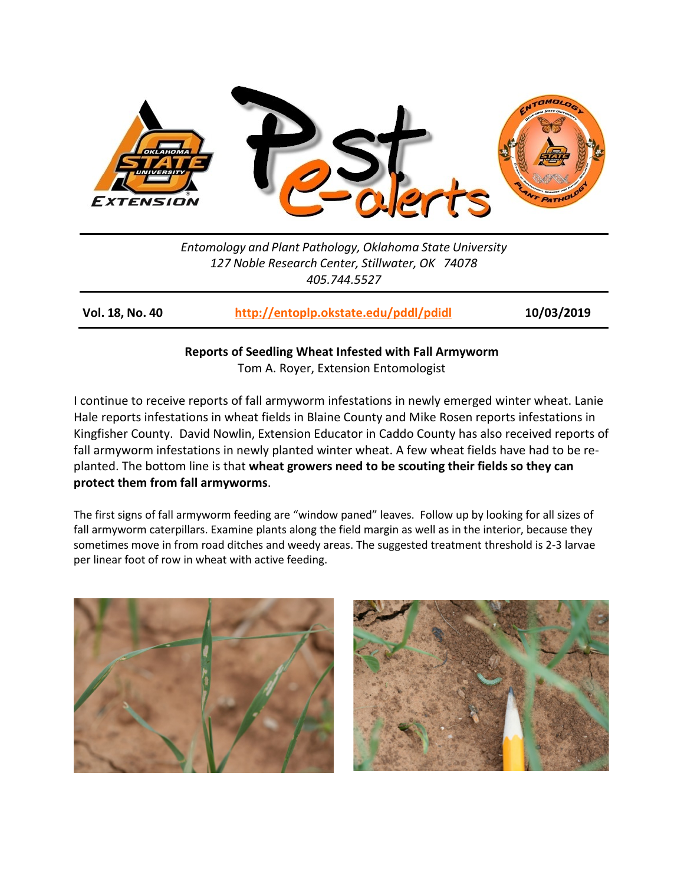

*Entomology and Plant Pathology, Oklahoma State University 127 Noble Research Center, Stillwater, OK 74078 405.744.5527*

**Vol. 18, No. 40 <http://entoplp.okstate.edu/pddl/pdidl> 10/03/2019**

**Reports of Seedling Wheat Infested with Fall Armyworm** Tom A. Royer, Extension Entomologist

I continue to receive reports of fall armyworm infestations in newly emerged winter wheat. Lanie Hale reports infestations in wheat fields in Blaine County and Mike Rosen reports infestations in Kingfisher County. David Nowlin, Extension Educator in Caddo County has also received reports of fall armyworm infestations in newly planted winter wheat. A few wheat fields have had to be replanted. The bottom line is that **wheat growers need to be scouting their fields so they can protect them from fall armyworms**.

The first signs of fall armyworm feeding are "window paned" leaves. Follow up by looking for all sizes of fall armyworm caterpillars. Examine plants along the field margin as well as in the interior, because they sometimes move in from road ditches and weedy areas. The suggested treatment threshold is 2-3 larvae per linear foot of row in wheat with active feeding.